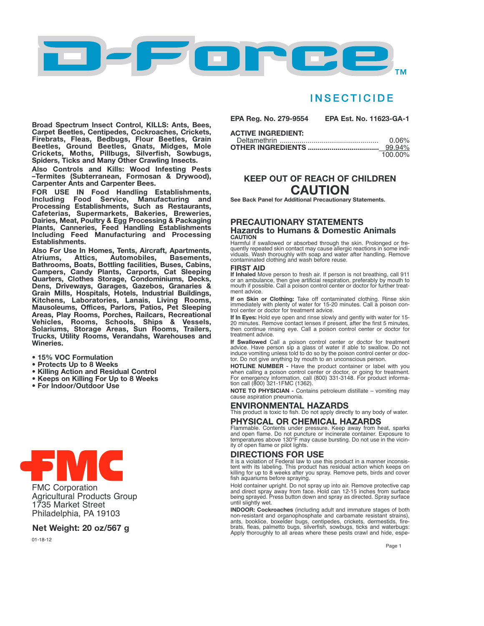

# **INSECTICIDE**

Broad Spectrum Insect Control, KILLS: Ants, Bees, Carpet Beetles, Centipedes, Cockroaches, Crickets, Firebrats, Fleas, Bedbugs, Flour Beetles, Grain Beetles, Ground Beetles, Gnats, Midges, Mole Crickets, Moths, Pillbugs, Silverfish, Sowbugs, Spiders, Ticks and Many Other Crawling Insects.

Also Controls and Kills: Wood Infesting Pests –Termites (Subterranean, Formosan & Drywood), Carpenter Ants and Carpenter Bees.

FOR USE IN Food Handling Establishments, Including Food Service, Manufacturing and Processing Establishments, Such as Restaurants, Cafeterias, Supermarkets, Bakeries, Breweries, Dairies, Meat, Poultry & Egg Processing & Packaging Plants, Canneries, Feed Handling Establishments Including Feed Manufacturing and Processing Establishments.

Also For Use In Homes, Tents, Aircraft, Apartments, Atriums, Attics, Automobiles, Basements, Bathrooms, Boats, Bottling facilities, Buses, Cabins, Campers, Candy Plants, Carports, Cat Sleeping Quarters, Clothes Storage, Condominiums, Decks, Dens, Driveways, Garages, Gazebos, Granaries & Grain Mills, Hospitals, Hotels, Industrial Buildings, Kitchens, Laboratories, Lanais, Living Rooms, Mausoleums, Offices, Parlors, Patios, Pet Sleeping Areas, Play Rooms, Porches, Railcars, Recreational Vehicles, Rooms, Schools, Ships & Vessels, Solariums, Storage Areas, Sun Rooms, Trailers, Trucks, Utility Rooms, Verandahs, Warehouses and Wineries.

- 15% VOC Formulation
- Protects Up to 8 Weeks
- Killing Action and Residual Control
- Keeps on Killing For Up to 8 Weeks
- For Indoor/Outdoor Use



FMC Corporation Agricultural Products Group 1735 Market Street Philadelphia, PA 19103

### Net Weight: 20 oz/567 g

01-18-12

EPA Reg. No. 279-9554 EPA Est. No. 11623-GA-1 ACTIVE INGREDIENT:

| ______________________ |          |
|------------------------|----------|
|                        | $0.06\%$ |
|                        |          |
|                        | 100.00%  |

## KEEP OUT OF REACH OF CHILDREN CAUTION

See Back Panel for Additional Precautionary Statements.

#### PRECAUTIONARY STATEMENTS Hazards to Humans & Domestic Animals CAUTION

Harmful if swallowed or absorbed through the skin. Prolonged or frequently repeated skin contact may cause allergic reactions in some indi-viduals. Wash thoroughly with soap and water after handling. Remove contaminated clothing and wash before reuse.

#### FIRST AID

If Inhaled Move person to fresh air. If person is not breathing, call <sup>911</sup> or an ambulance, then give artificial respiration, preferably by mouth to mouth if possible. Call a poison control center or doctor for further treatment advice.

If on Skin or Clothing: Take off contaminated clothing. Rinse skin immediately with plenty of water for 15-20 minutes. Call a poison control center or doctor for treatment advice.

If In Eyes: Hold eye open and rinse slowly and gently with water for 15-20 minutes. Remove contact lenses if present, after the first 5 minutes, then continue rinsing eye. Call a poison control center or doctor for treatment advice.

If Swallowed Call <sup>a</sup> poison control center or doctor for treatment advice. Have person sip a glass of water if able to swallow. Do not induce vomiting unless told to do so by the poison control center or doc-tor. Do not give anything by mouth to an unconscious person.

**HOTLINE NUMBER -** Have the product container or label with you<br>when calling a poison control center or doctor, or going for treatment.<br>For emergency information, call (800) 331-3148. For product informa-<br>tion call (800) 3

NOTE TO PHYSICIAN - Contains petroleum distillate – vomiting may cause aspiration pneumonia.

#### ENVIRONMENTAL HAZARDS

This product is toxic to fish. Do not apply directly to any body of water. PHYSICAL OR CHEMICAL HAZARDS

Flammable. Contents under pressure. Keep away from heat, sparks and open flame. Do not puncture or incinerate container. Exposure to temperatures above 130°F may cause bursting. Do not use in the vicinity of open flame or pilot lights.

#### DIRECTIONS FOR USE

It is a violation of Federal law to use this product in a manner inconsistent with its labeling. This product has residual action which keeps on killing for up to 8 weeks after you spray. Remove pets, birds and cover fish aquariums before spraying.

Hold container upright. Do not spray up into air. Remove protective cap and direct spray away from face. Hold can 12-15 inches from surface being sprayed. Press button down and spray as directed. Spray surface until slightly wet.

INDOOR: Cockroaches (including adult and immature stages of both non-resistant and organophosphate and carbamate resistant strains), ants, booklice, boxelder bugs, centipedes, crickets, dermestids, fire-brats, fleas, palmetto bugs, silverfish, sowbugs, ticks and waterbugs: Apply thoroughly to all areas where these pests crawl and hide, espe